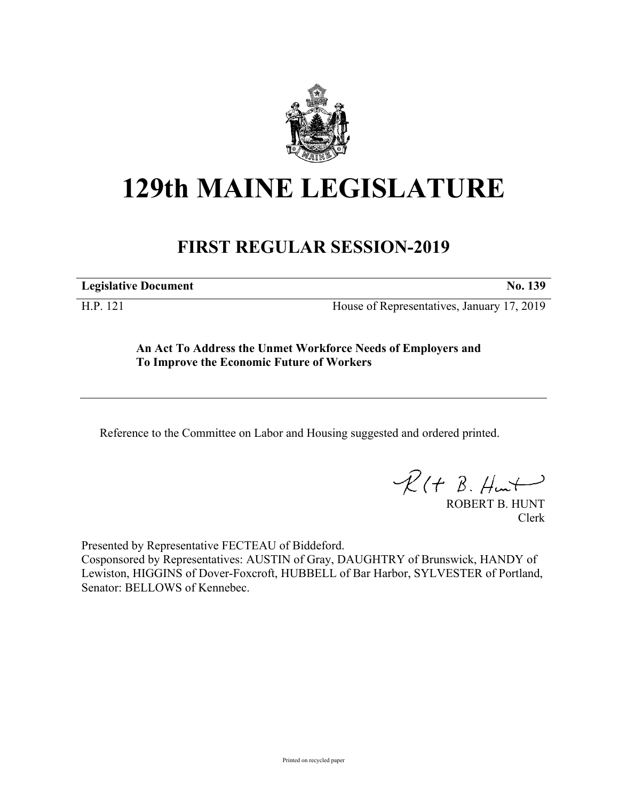

## **129th MAINE LEGISLATURE**

## **FIRST REGULAR SESSION-2019**

**Legislative Document No. 139**

H.P. 121 House of Representatives, January 17, 2019

**An Act To Address the Unmet Workforce Needs of Employers and To Improve the Economic Future of Workers**

Reference to the Committee on Labor and Housing suggested and ordered printed.

 $R(t B. Hmt)$ 

ROBERT B. HUNT Clerk

Presented by Representative FECTEAU of Biddeford.

Cosponsored by Representatives: AUSTIN of Gray, DAUGHTRY of Brunswick, HANDY of Lewiston, HIGGINS of Dover-Foxcroft, HUBBELL of Bar Harbor, SYLVESTER of Portland, Senator: BELLOWS of Kennebec.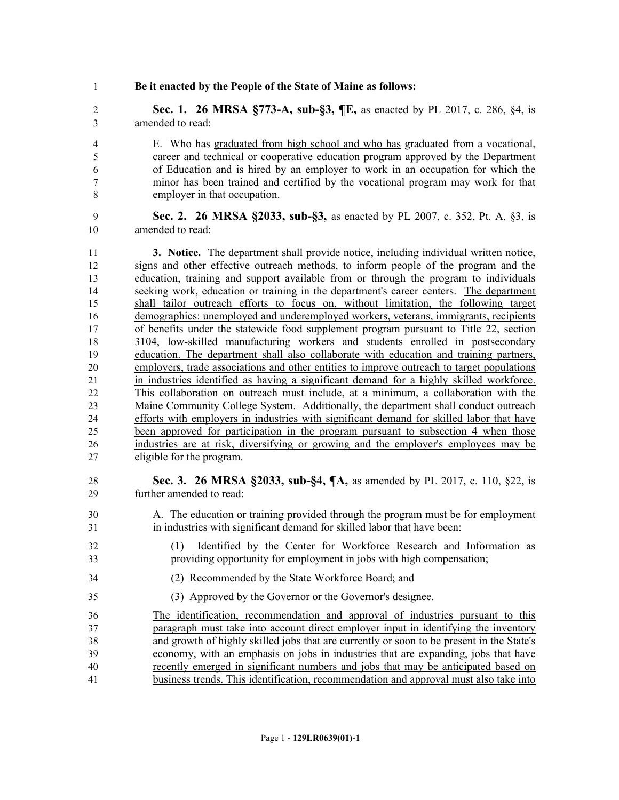**Be it enacted by the People of the State of Maine as follows:**

 **Sec. 1. 26 MRSA §773-A, sub-§3, ¶E,** as enacted by PL 2017, c. 286, §4, is amended to read:

 E. Who has graduated from high school and who has graduated from a vocational, career and technical or cooperative education program approved by the Department of Education and is hired by an employer to work in an occupation for which the minor has been trained and certified by the vocational program may work for that employer in that occupation.

 **Sec. 2. 26 MRSA §2033, sub-§3,** as enacted by PL 2007, c. 352, Pt. A, §3, is amended to read:

 **3. Notice.** The department shall provide notice, including individual written notice, signs and other effective outreach methods, to inform people of the program and the education, training and support available from or through the program to individuals seeking work, education or training in the department's career centers. The department shall tailor outreach efforts to focus on, without limitation, the following target demographics: unemployed and underemployed workers, veterans, immigrants, recipients of benefits under the statewide food supplement program pursuant to Title 22, section 3104, low-skilled manufacturing workers and students enrolled in postsecondary education. The department shall also collaborate with education and training partners, employers, trade associations and other entities to improve outreach to target populations in industries identified as having a significant demand for a highly skilled workforce. This collaboration on outreach must include, at a minimum, a collaboration with the Maine Community College System. Additionally, the department shall conduct outreach efforts with employers in industries with significant demand for skilled labor that have been approved for participation in the program pursuant to subsection 4 when those industries are at risk, diversifying or growing and the employer's employees may be eligible for the program.

 **Sec. 3. 26 MRSA §2033, sub-§4, ¶A,** as amended by PL 2017, c. 110, §22, is further amended to read:

- A. The education or training provided through the program must be for employment in industries with significant demand for skilled labor that have been:
- (1) Identified by the Center for Workforce Research and Information as providing opportunity for employment in jobs with high compensation;
- (2) Recommended by the State Workforce Board; and
- (3) Approved by the Governor or the Governor's designee.

 The identification, recommendation and approval of industries pursuant to this paragraph must take into account direct employer input in identifying the inventory and growth of highly skilled jobs that are currently or soon to be present in the State's economy, with an emphasis on jobs in industries that are expanding, jobs that have recently emerged in significant numbers and jobs that may be anticipated based on business trends. This identification, recommendation and approval must also take into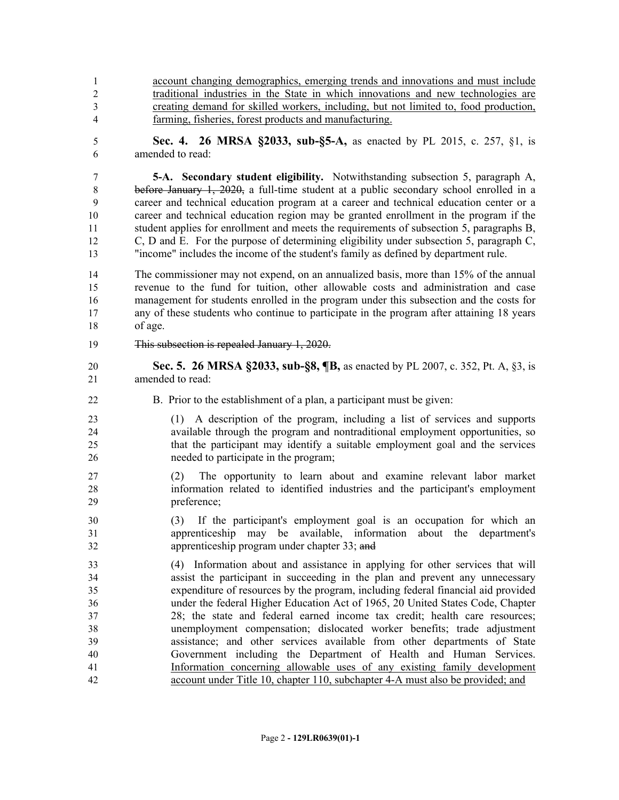- account changing demographics, emerging trends and innovations and must include traditional industries in the State in which innovations and new technologies are creating demand for skilled workers, including, but not limited to, food production, farming, fisheries, forest products and manufacturing.
- **Sec. 4. 26 MRSA §2033, sub-§5-A,** as enacted by PL 2015, c. 257, §1, is amended to read:

 **5-A. Secondary student eligibility.** Notwithstanding subsection 5, paragraph A, before January 1, 2020, a full-time student at a public secondary school enrolled in a career and technical education program at a career and technical education center or a career and technical education region may be granted enrollment in the program if the student applies for enrollment and meets the requirements of subsection 5, paragraphs B, C, D and E. For the purpose of determining eligibility under subsection 5, paragraph C, "income" includes the income of the student's family as defined by department rule.

 The commissioner may not expend, on an annualized basis, more than 15% of the annual revenue to the fund for tuition, other allowable costs and administration and case management for students enrolled in the program under this subsection and the costs for any of these students who continue to participate in the program after attaining 18 years of age.

- This subsection is repealed January 1, 2020.
- **Sec. 5. 26 MRSA §2033, sub-§8, ¶B,** as enacted by PL 2007, c. 352, Pt. A, §3, is amended to read:
- B. Prior to the establishment of a plan, a participant must be given:
- (1) A description of the program, including a list of services and supports available through the program and nontraditional employment opportunities, so that the participant may identify a suitable employment goal and the services needed to participate in the program;
- (2) The opportunity to learn about and examine relevant labor market information related to identified industries and the participant's employment preference;
- (3) If the participant's employment goal is an occupation for which an apprenticeship may be available, information about the department's apprenticeship program under chapter 33; and
- (4) Information about and assistance in applying for other services that will assist the participant in succeeding in the plan and prevent any unnecessary expenditure of resources by the program, including federal financial aid provided under the federal Higher Education Act of 1965, 20 United States Code, Chapter 28; the state and federal earned income tax credit; health care resources; unemployment compensation; dislocated worker benefits; trade adjustment assistance; and other services available from other departments of State Government including the Department of Health and Human Services. Information concerning allowable uses of any existing family development account under Title 10, chapter 110, subchapter 4-A must also be provided; and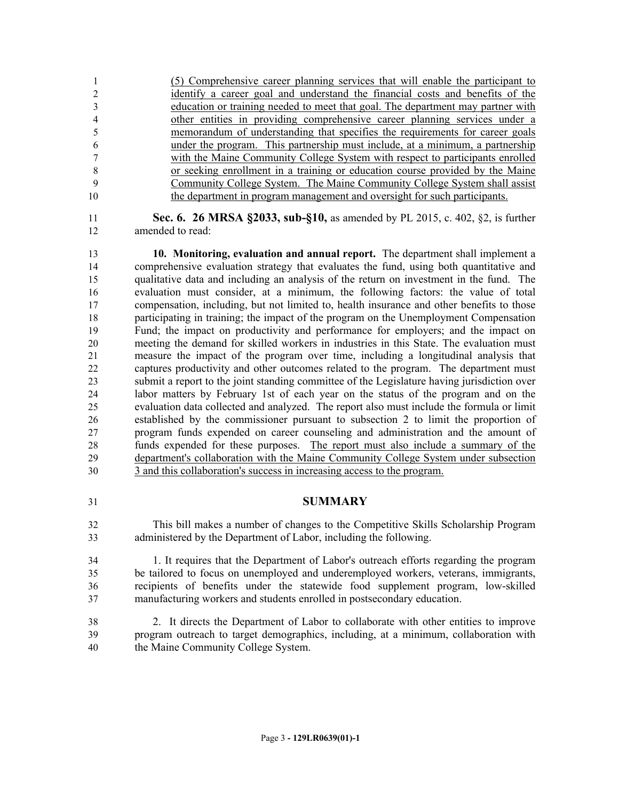(5) Comprehensive career planning services that will enable the participant to identify a career goal and understand the financial costs and benefits of the education or training needed to meet that goal. The department may partner with other entities in providing comprehensive career planning services under a memorandum of understanding that specifies the requirements for career goals under the program. This partnership must include, at a minimum, a partnership with the Maine Community College System with respect to participants enrolled or seeking enrollment in a training or education course provided by the Maine Community College System. The Maine Community College System shall assist the department in program management and oversight for such participants.

 **Sec. 6. 26 MRSA §2033, sub-§10,** as amended by PL 2015, c. 402, §2, is further amended to read:

 **10. Monitoring, evaluation and annual report.** The department shall implement a comprehensive evaluation strategy that evaluates the fund, using both quantitative and qualitative data and including an analysis of the return on investment in the fund. The evaluation must consider, at a minimum, the following factors: the value of total compensation, including, but not limited to, health insurance and other benefits to those participating in training; the impact of the program on the Unemployment Compensation Fund; the impact on productivity and performance for employers; and the impact on meeting the demand for skilled workers in industries in this State. The evaluation must measure the impact of the program over time, including a longitudinal analysis that captures productivity and other outcomes related to the program. The department must submit a report to the joint standing committee of the Legislature having jurisdiction over labor matters by February 1st of each year on the status of the program and on the evaluation data collected and analyzed. The report also must include the formula or limit established by the commissioner pursuant to subsection 2 to limit the proportion of program funds expended on career counseling and administration and the amount of funds expended for these purposes. The report must also include a summary of the department's collaboration with the Maine Community College System under subsection 3 and this collaboration's success in increasing access to the program.

## **SUMMARY**

 This bill makes a number of changes to the Competitive Skills Scholarship Program administered by the Department of Labor, including the following.

 1. It requires that the Department of Labor's outreach efforts regarding the program be tailored to focus on unemployed and underemployed workers, veterans, immigrants, recipients of benefits under the statewide food supplement program, low-skilled manufacturing workers and students enrolled in postsecondary education.

 2. It directs the Department of Labor to collaborate with other entities to improve program outreach to target demographics, including, at a minimum, collaboration with the Maine Community College System.